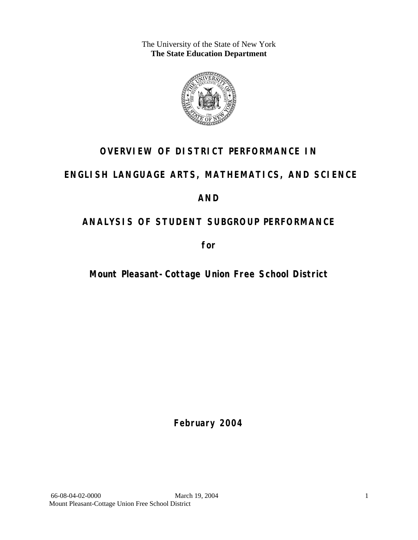The University of the State of New York **The State Education Department** 



# **OVERVIEW OF DISTRICT PERFORMANCE IN**

# **ENGLISH LANGUAGE ARTS, MATHEMATICS, AND SCIENCE**

# **AND**

# **ANALYSIS OF STUDENT SUBGROUP PERFORMANCE**

**for** 

**Mount Pleasant-Cottage Union Free School District**

**February 2004**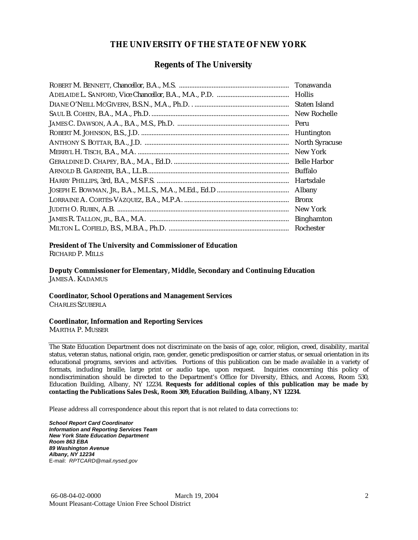### **THE UNIVERSITY OF THE STATE OF NEW YORK**

### **Regents of The University**

| Tonawanda             |
|-----------------------|
| <b>Hollis</b>         |
| Staten Island         |
| New Rochelle          |
| Peru                  |
| Huntington            |
| <b>North Syracuse</b> |
| New York              |
| <b>Belle Harbor</b>   |
| <b>Buffalo</b>        |
| Hartsdale             |
| Albany                |
| <b>Bronx</b>          |
| New York              |
| <b>Binghamton</b>     |
| Rochester             |

#### **President of The University and Commissioner of Education**

RICHARD P. MILLS

**Deputy Commissioner for Elementary, Middle, Secondary and Continuing Education**  JAMES A. KADAMUS

### **Coordinator, School Operations and Management Services**

CHARLES SZUBERLA

#### **Coordinator, Information and Reporting Services**

MARTHA P. MUSSER

The State Education Department does not discriminate on the basis of age, color, religion, creed, disability, marital status, veteran status, national origin, race, gender, genetic predisposition or carrier status, or sexual orientation in its educational programs, services and activities. Portions of this publication can be made available in a variety of formats, including braille, large print or audio tape, upon request. Inquiries concerning this policy of nondiscrimination should be directed to the Department's Office for Diversity, Ethics, and Access, Room 530, Education Building, Albany, NY 12234. **Requests for additional copies of this publication may be made by contacting the Publications Sales Desk, Room 309, Education Building, Albany, NY 12234.** 

Please address all correspondence about this report that is not related to data corrections to:

*School Report Card Coordinator Information and Reporting Services Team New York State Education Department Room 863 EBA 89 Washington Avenue Albany, NY 12234*  E-mail: *RPTCARD@mail.nysed.gov*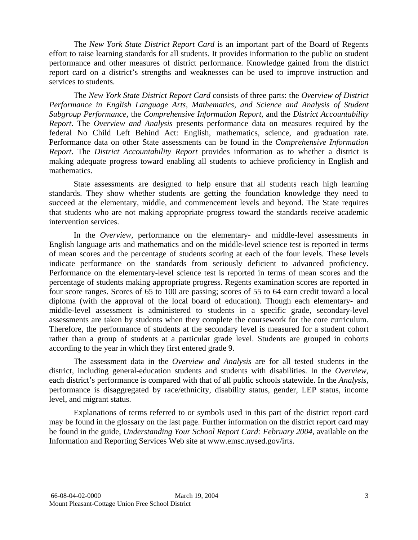The *New York State District Report Card* is an important part of the Board of Regents effort to raise learning standards for all students. It provides information to the public on student performance and other measures of district performance. Knowledge gained from the district report card on a district's strengths and weaknesses can be used to improve instruction and services to students.

The *New York State District Report Card* consists of three parts: the *Overview of District Performance in English Language Arts, Mathematics, and Science and Analysis of Student Subgroup Performance,* the *Comprehensive Information Report,* and the *District Accountability Report*. The *Overview and Analysis* presents performance data on measures required by the federal No Child Left Behind Act: English, mathematics, science, and graduation rate. Performance data on other State assessments can be found in the *Comprehensive Information Report*. The *District Accountability Report* provides information as to whether a district is making adequate progress toward enabling all students to achieve proficiency in English and mathematics.

State assessments are designed to help ensure that all students reach high learning standards. They show whether students are getting the foundation knowledge they need to succeed at the elementary, middle, and commencement levels and beyond. The State requires that students who are not making appropriate progress toward the standards receive academic intervention services.

In the *Overview*, performance on the elementary- and middle-level assessments in English language arts and mathematics and on the middle-level science test is reported in terms of mean scores and the percentage of students scoring at each of the four levels. These levels indicate performance on the standards from seriously deficient to advanced proficiency. Performance on the elementary-level science test is reported in terms of mean scores and the percentage of students making appropriate progress. Regents examination scores are reported in four score ranges. Scores of 65 to 100 are passing; scores of 55 to 64 earn credit toward a local diploma (with the approval of the local board of education). Though each elementary- and middle-level assessment is administered to students in a specific grade, secondary-level assessments are taken by students when they complete the coursework for the core curriculum. Therefore, the performance of students at the secondary level is measured for a student cohort rather than a group of students at a particular grade level. Students are grouped in cohorts according to the year in which they first entered grade 9.

The assessment data in the *Overview and Analysis* are for all tested students in the district, including general-education students and students with disabilities. In the *Overview*, each district's performance is compared with that of all public schools statewide. In the *Analysis*, performance is disaggregated by race/ethnicity, disability status, gender, LEP status, income level, and migrant status.

Explanations of terms referred to or symbols used in this part of the district report card may be found in the glossary on the last page. Further information on the district report card may be found in the guide, *Understanding Your School Report Card: February 2004*, available on the Information and Reporting Services Web site at www.emsc.nysed.gov/irts.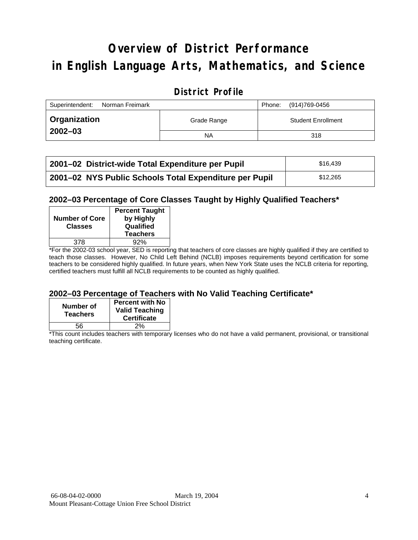# **Overview of District Performance in English Language Arts, Mathematics, and Science**

### **District Profile**

| Superintendent:<br>Norman Freimark |             | Phone: | (914)769-0456             |
|------------------------------------|-------------|--------|---------------------------|
| ∣ Organization                     | Grade Range |        | <b>Student Enrollment</b> |
| $2002 - 03$                        | <b>NA</b>   |        | 318                       |

| 2001–02 District-wide Total Expenditure per Pupil      | \$16,439 |
|--------------------------------------------------------|----------|
| 2001-02 NYS Public Schools Total Expenditure per Pupil | \$12,265 |

### **2002–03 Percentage of Core Classes Taught by Highly Qualified Teachers\***

| <b>Number of Core</b><br><b>Classes</b> | <b>Percent Taught</b><br>by Highly<br>Qualified<br><b>Teachers</b> |
|-----------------------------------------|--------------------------------------------------------------------|
| 378                                     | 92%                                                                |
| . .<br>$\overline{\phantom{a}}$         |                                                                    |

\*For the 2002-03 school year, SED is reporting that teachers of core classes are highly qualified if they are certified to teach those classes. However, No Child Left Behind (NCLB) imposes requirements beyond certification for some teachers to be considered highly qualified. In future years, when New York State uses the NCLB criteria for reporting, certified teachers must fulfill all NCLB requirements to be counted as highly qualified.

### **2002–03 Percentage of Teachers with No Valid Teaching Certificate\***

| Number of<br><b>Teachers</b> | <b>Percent with No</b><br><b>Valid Teaching</b><br><b>Certificate</b> |
|------------------------------|-----------------------------------------------------------------------|
| 56                           | 2%                                                                    |

\*This count includes teachers with temporary licenses who do not have a valid permanent, provisional, or transitional teaching certificate.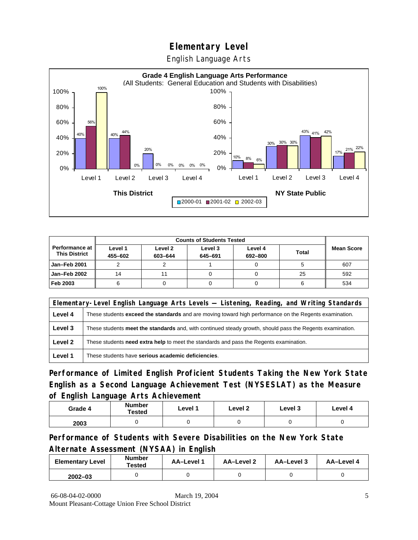English Language Arts



| <b>Counts of Students Tested</b>                |                    |                    |                    |                    |              |                   |
|-------------------------------------------------|--------------------|--------------------|--------------------|--------------------|--------------|-------------------|
| <b>Performance at I</b><br><b>This District</b> | Level 1<br>455-602 | Level 2<br>603-644 | Level 3<br>645-691 | Level 4<br>692-800 | <b>Total</b> | <b>Mean Score</b> |
| Jan-Feb 2001                                    |                    |                    |                    |                    |              | 607               |
| Jan-Feb 2002                                    | 14                 |                    |                    |                    | 25           | 592               |
| Feb 2003                                        |                    |                    |                    |                    |              | 534               |

|         | Elementary-Level English Language Arts Levels - Listening, Reading, and Writing Standards                     |  |  |  |  |  |
|---------|---------------------------------------------------------------------------------------------------------------|--|--|--|--|--|
| Level 4 | These students <b>exceed the standards</b> and are moving toward high performance on the Regents examination. |  |  |  |  |  |
| Level 3 | These students meet the standards and, with continued steady growth, should pass the Regents examination.     |  |  |  |  |  |
| Level 2 | These students need extra help to meet the standards and pass the Regents examination.                        |  |  |  |  |  |
| Level 1 | These students have serious academic deficiencies.                                                            |  |  |  |  |  |

**Performance of Limited English Proficient Students Taking the New York State English as a Second Language Achievement Test (NYSESLAT) as the Measure of English Language Arts Achievement**

| Grade 4 | <b>Number</b><br>Tested | Level 1 | Level 2 | Level 3 | Level 4 |
|---------|-------------------------|---------|---------|---------|---------|
| 2003    |                         |         |         |         |         |

**Performance of Students with Severe Disabilities on the New York State Alternate Assessment (NYSAA) in English** 

| <b>Elementary Level</b> | <b>Number</b><br>Tested | AA-Level 1 | AA-Level 2 | AA-Level 3 | AA-Level 4 |
|-------------------------|-------------------------|------------|------------|------------|------------|
| $2002 - 03$             |                         |            |            |            |            |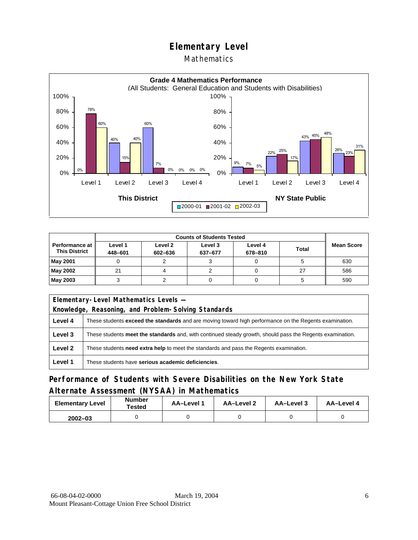### Mathematics



| <b>Counts of Students Tested</b>                |                    |                    |                    |                    |              |                   |
|-------------------------------------------------|--------------------|--------------------|--------------------|--------------------|--------------|-------------------|
| <b>Performance at I</b><br><b>This District</b> | Level 1<br>448-601 | Level 2<br>602-636 | Level 3<br>637-677 | Level 4<br>678-810 | <b>Total</b> | <b>Mean Score</b> |
| <b>May 2001</b>                                 |                    |                    |                    |                    |              | 630               |
| May 2002                                        | 21                 |                    |                    |                    | 27           | 586               |
| May 2003                                        |                    |                    |                    |                    |              | 590               |

| Elementary-Level Mathematics Levels - |                                                                                                               |  |  |  |
|---------------------------------------|---------------------------------------------------------------------------------------------------------------|--|--|--|
|                                       | Knowledge, Reasoning, and Problem-Solving Standards                                                           |  |  |  |
| Level 4                               | These students <b>exceed the standards</b> and are moving toward high performance on the Regents examination. |  |  |  |
| Level 3                               | These students meet the standards and, with continued steady growth, should pass the Regents examination.     |  |  |  |
| Level 2                               | These students need extra help to meet the standards and pass the Regents examination.                        |  |  |  |
| Level 1                               | These students have serious academic deficiencies.                                                            |  |  |  |

## **Performance of Students with Severe Disabilities on the New York State Alternate Assessment (NYSAA) in Mathematics**

| <b>Elementary Level</b> | <b>Number</b><br>Tested | AA-Level 1 | AA-Level 2 | AA-Level 3 | AA-Level 4 |
|-------------------------|-------------------------|------------|------------|------------|------------|
| $2002 - 03$             |                         |            |            |            |            |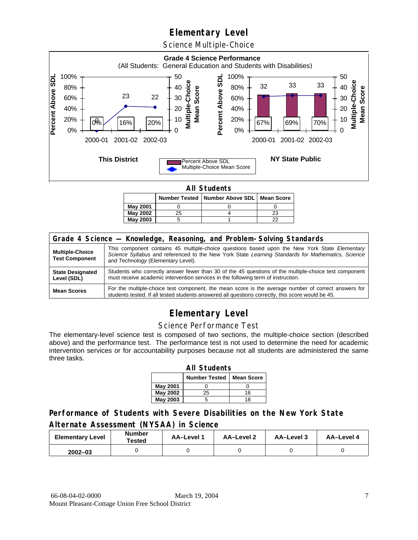Science Multiple-Choice



**All Students** 

|          |    | Number Tested   Number Above SDL   Mean Score |    |
|----------|----|-----------------------------------------------|----|
| May 2001 |    |                                               |    |
| May 2002 | 25 |                                               | 23 |
| May 2003 |    |                                               | つつ |

| Grade 4 Science - Knowledge, Reasoning, and Problem-Solving Standards |                                                                                                                                                                                                                                          |  |  |  |  |
|-----------------------------------------------------------------------|------------------------------------------------------------------------------------------------------------------------------------------------------------------------------------------------------------------------------------------|--|--|--|--|
| <b>Multiple-Choice</b><br><b>Test Component</b>                       | This component contains 45 multiple-choice questions based upon the New York State Elementary<br>Science Syllabus and referenced to the New York State Learning Standards for Mathematics, Science<br>and Technology (Elementary Level). |  |  |  |  |
| <b>State Designated</b><br>Level (SDL)                                | Students who correctly answer fewer than 30 of the 45 questions of the multiple-choice test component<br>must receive academic intervention services in the following term of instruction.                                               |  |  |  |  |
| <b>Mean Scores</b>                                                    | For the multiple-choice test component, the mean score is the average number of correct answers for<br>students tested. If all tested students answered all questions correctly, this score would be 45.                                 |  |  |  |  |

# **Elementary Level**

#### Science Performance Test

The elementary-level science test is composed of two sections, the multiple-choice section (described above) and the performance test. The performance test is not used to determine the need for academic intervention services or for accountability purposes because not all students are administered the same three tasks.

| <b>All Students</b>                       |    |    |  |  |  |  |  |
|-------------------------------------------|----|----|--|--|--|--|--|
| <b>Number Tested</b><br><b>Mean Score</b> |    |    |  |  |  |  |  |
| May 2001                                  |    |    |  |  |  |  |  |
| May 2002                                  | 25 | 16 |  |  |  |  |  |
| May 2003<br>18                            |    |    |  |  |  |  |  |

### **Performance of Students with Severe Disabilities on the New York State Alternate Assessment (NYSAA) in Science**

| <b>Elementary Level</b> | <b>Number</b><br>Tested | <b>AA-Level 1</b> | AA-Level 2 | AA-Level 3 | AA-Level 4 |
|-------------------------|-------------------------|-------------------|------------|------------|------------|
| $2002 - 03$             |                         |                   |            |            |            |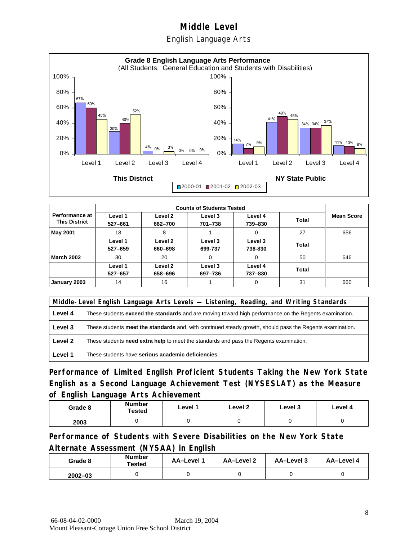English Language Arts



|                                        |                    | <b>Counts of Students Tested</b> |                    |                    |       |                   |  |  |
|----------------------------------------|--------------------|----------------------------------|--------------------|--------------------|-------|-------------------|--|--|
| Performance at<br><b>This District</b> | Level 1<br>527-661 | Level 2<br>662-700               | Level 3<br>701-738 | Level 4<br>739-830 | Total | <b>Mean Score</b> |  |  |
| <b>May 2001</b>                        | 18                 | 8                                |                    | 0                  | 27    | 656               |  |  |
|                                        | Level 1<br>527-659 | Level 2<br>660-698               | Level 3<br>699-737 | Level 3<br>738-830 | Total |                   |  |  |
| <b>March 2002</b>                      | 30                 | 20                               | $\Omega$           | $\Omega$           | 50    | 646               |  |  |
|                                        | Level 1<br>527-657 | Level 2<br>658-696               | Level 3<br>697-736 | Level 4<br>737-830 | Total |                   |  |  |
| January 2003                           | 14                 | 16                               |                    | $\Omega$           | 31    | 660               |  |  |

|         | Middle-Level English Language Arts Levels — Listening, Reading, and Writing Standards                     |  |  |  |  |
|---------|-----------------------------------------------------------------------------------------------------------|--|--|--|--|
| Level 4 | These students exceed the standards and are moving toward high performance on the Regents examination.    |  |  |  |  |
| Level 3 | These students meet the standards and, with continued steady growth, should pass the Regents examination. |  |  |  |  |
| Level 2 | These students <b>need extra help</b> to meet the standards and pass the Regents examination.             |  |  |  |  |
| Level 1 | These students have serious academic deficiencies.                                                        |  |  |  |  |

**Performance of Limited English Proficient Students Taking the New York State English as a Second Language Achievement Test (NYSESLAT) as the Measure of English Language Arts Achievement**

| Grade 8 | Number<br>Tested | Level 1 | Level 2 | Level 3 | Level 4 |
|---------|------------------|---------|---------|---------|---------|
| 2003    |                  |         |         |         |         |

**Performance of Students with Severe Disabilities on the New York State Alternate Assessment (NYSAA) in English** 

| Grade 8     | <b>Number</b><br>Tested | AA-Level 1 | AA-Level 2 | AA-Level 3 | AA-Level 4 |
|-------------|-------------------------|------------|------------|------------|------------|
| $2002 - 03$ |                         |            |            |            |            |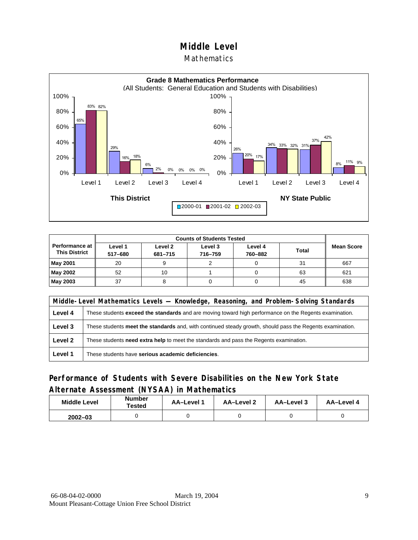### **Mathematics**



| Performance at<br><b>This District</b> | Level 1<br>517-680 | Level 2<br>681-715 | Level 3<br>716-759 | Level 4<br>760-882 | Total | <b>Mean Score</b> |
|----------------------------------------|--------------------|--------------------|--------------------|--------------------|-------|-------------------|
| May 2001                               | 20                 |                    |                    |                    | 31    | 667               |
| May 2002                               | 52                 | 10                 |                    |                    | 63    | 621               |
| May 2003                               | 37                 |                    |                    |                    | 45    | 638               |

|         | Middle-Level Mathematics Levels — Knowledge, Reasoning, and Problem-Solving Standards                         |  |  |  |  |
|---------|---------------------------------------------------------------------------------------------------------------|--|--|--|--|
| Level 4 | These students <b>exceed the standards</b> and are moving toward high performance on the Regents examination. |  |  |  |  |
| Level 3 | These students meet the standards and, with continued steady growth, should pass the Regents examination.     |  |  |  |  |
| Level 2 | These students <b>need extra help</b> to meet the standards and pass the Regents examination.                 |  |  |  |  |
| Level 1 | These students have serious academic deficiencies.                                                            |  |  |  |  |

### **Performance of Students with Severe Disabilities on the New York State Alternate Assessment (NYSAA) in Mathematics**

| <b>Middle Level</b> | <b>Number</b><br>Tested | <b>AA–Level</b> 1 | AA-Level 2 | AA-Level 3 | AA-Level 4 |
|---------------------|-------------------------|-------------------|------------|------------|------------|
| $2002 - 03$         |                         |                   |            |            |            |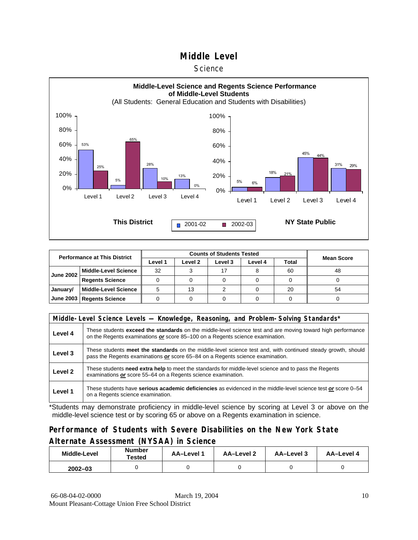#### **Science**



| <b>Performance at This District</b> |                             |         |         |         |         |              |                   |
|-------------------------------------|-----------------------------|---------|---------|---------|---------|--------------|-------------------|
|                                     |                             | Level 1 | Level 2 | Level 3 | Level 4 | <b>Total</b> | <b>Mean Score</b> |
| <b>June 2002</b>                    | <b>Middle-Level Science</b> | 32      |         |         |         | 60           | 48                |
|                                     | <b>Regents Science</b>      |         |         |         |         |              |                   |
| January/                            | <b>Middle-Level Science</b> |         | 13      |         |         | 20           | 54                |
|                                     | June 2003   Regents Science |         |         |         |         |              |                   |

|         | Middle-Level Science Levels - Knowledge, Reasoning, and Problem-Solving Standards*                                                                                                             |
|---------|------------------------------------------------------------------------------------------------------------------------------------------------------------------------------------------------|
| Level 4 | These students exceed the standards on the middle-level science test and are moving toward high performance<br>on the Regents examinations or score 85-100 on a Regents science examination.   |
| Level 3 | These students meet the standards on the middle-level science test and, with continued steady growth, should<br>pass the Regents examinations or score 65-84 on a Regents science examination. |
| Level 2 | These students need extra help to meet the standards for middle-level science and to pass the Regents<br>examinations or score 55-64 on a Regents science examination.                         |
| Level 1 | These students have serious academic deficiencies as evidenced in the middle-level science test or score 0–54<br>on a Regents science examination.                                             |

\*Students may demonstrate proficiency in middle-level science by scoring at Level 3 or above on the middle-level science test or by scoring 65 or above on a Regents examination in science.

### **Performance of Students with Severe Disabilities on the New York State Alternate Assessment (NYSAA) in Science**

| Middle-Level | Number<br>Tested | AA-Level 1 | AA-Level 2 | AA-Level 3 | AA-Level 4 |  |
|--------------|------------------|------------|------------|------------|------------|--|
| $2002 - 03$  |                  |            |            |            |            |  |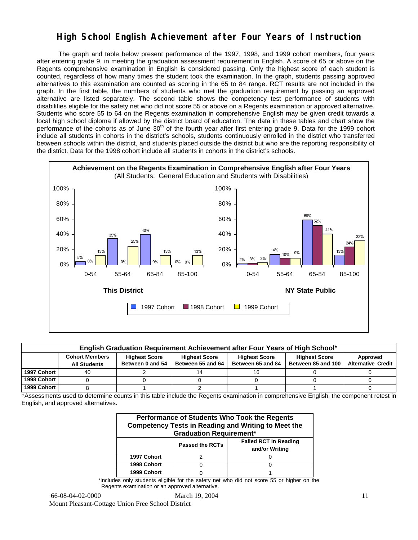## **High School English Achievement after Four Years of Instruction**

 The graph and table below present performance of the 1997, 1998, and 1999 cohort members, four years after entering grade 9, in meeting the graduation assessment requirement in English. A score of 65 or above on the Regents comprehensive examination in English is considered passing. Only the highest score of each student is counted, regardless of how many times the student took the examination. In the graph, students passing approved alternatives to this examination are counted as scoring in the 65 to 84 range. RCT results are not included in the graph. In the first table, the numbers of students who met the graduation requirement by passing an approved alternative are listed separately. The second table shows the competency test performance of students with disabilities eligible for the safety net who did not score 55 or above on a Regents examination or approved alternative. Students who score 55 to 64 on the Regents examination in comprehensive English may be given credit towards a local high school diploma if allowed by the district board of education. The data in these tables and chart show the performance of the cohorts as of June  $30<sup>th</sup>$  of the fourth year after first entering grade 9. Data for the 1999 cohort include all students in cohorts in the district's schools, students continuously enrolled in the district who transferred between schools within the district, and students placed outside the district but who are the reporting responsibility of the district. Data for the 1998 cohort include all students in cohorts in the district's schools.



| English Graduation Requirement Achievement after Four Years of High School* |                                                                                                                                                                                                                                                                           |  |  |  |  |  |  |  |  |  |  |  |
|-----------------------------------------------------------------------------|---------------------------------------------------------------------------------------------------------------------------------------------------------------------------------------------------------------------------------------------------------------------------|--|--|--|--|--|--|--|--|--|--|--|
|                                                                             | <b>Cohort Members</b><br><b>Highest Score</b><br><b>Highest Score</b><br><b>Highest Score</b><br><b>Highest Score</b><br>Approved<br>Between 55 and 64<br><b>Alternative Credit</b><br>Between 85 and 100<br>Between 0 and 54<br>Between 65 and 84<br><b>All Students</b> |  |  |  |  |  |  |  |  |  |  |  |
| 1997 Cohort                                                                 | 40                                                                                                                                                                                                                                                                        |  |  |  |  |  |  |  |  |  |  |  |
| 1998 Cohort                                                                 |                                                                                                                                                                                                                                                                           |  |  |  |  |  |  |  |  |  |  |  |
| 1999 Cohort                                                                 |                                                                                                                                                                                                                                                                           |  |  |  |  |  |  |  |  |  |  |  |

\*Assessments used to determine counts in this table include the Regents examination in comprehensive English, the component retest in English, and approved alternatives.

| Performance of Students Who Took the Regents<br><b>Competency Tests in Reading and Writing to Meet the</b><br><b>Graduation Requirement*</b> |  |  |  |  |  |  |  |
|----------------------------------------------------------------------------------------------------------------------------------------------|--|--|--|--|--|--|--|
| <b>Failed RCT in Reading</b><br><b>Passed the RCTs</b><br>and/or Writing                                                                     |  |  |  |  |  |  |  |
| 1997 Cohort                                                                                                                                  |  |  |  |  |  |  |  |
| 1998 Cohort                                                                                                                                  |  |  |  |  |  |  |  |
| 1999 Cohort                                                                                                                                  |  |  |  |  |  |  |  |

\*Includes only students eligible for the safety net who did not score 55 or higher on the Regents examination or an approved alternative.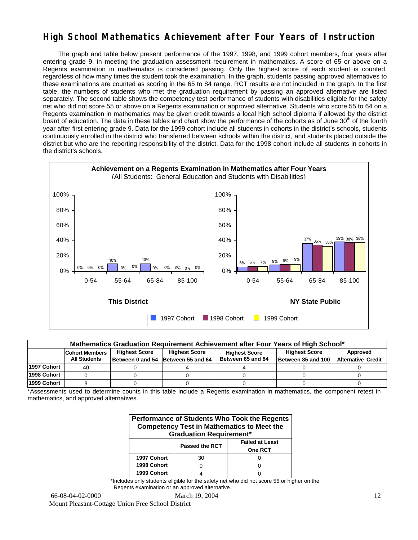## **High School Mathematics Achievement after Four Years of Instruction**

 The graph and table below present performance of the 1997, 1998, and 1999 cohort members, four years after entering grade 9, in meeting the graduation assessment requirement in mathematics. A score of 65 or above on a Regents examination in mathematics is considered passing. Only the highest score of each student is counted, regardless of how many times the student took the examination. In the graph, students passing approved alternatives to these examinations are counted as scoring in the 65 to 84 range. RCT results are not included in the graph. In the first table, the numbers of students who met the graduation requirement by passing an approved alternative are listed separately. The second table shows the competency test performance of students with disabilities eligible for the safety net who did not score 55 or above on a Regents examination or approved alternative. Students who score 55 to 64 on a Regents examination in mathematics may be given credit towards a local high school diploma if allowed by the district board of education. The data in these tables and chart show the performance of the cohorts as of June 30<sup>th</sup> of the fourth year after first entering grade 9. Data for the 1999 cohort include all students in cohorts in the district's schools, students continuously enrolled in the district who transferred between schools within the district, and students placed outside the district but who are the reporting responsibility of the district. Data for the 1998 cohort include all students in cohorts in the district's schools.



| Mathematics Graduation Requirement Achievement after Four Years of High School* |                                                                                                                                   |  |                                    |                   |                    |                           |  |  |  |  |  |
|---------------------------------------------------------------------------------|-----------------------------------------------------------------------------------------------------------------------------------|--|------------------------------------|-------------------|--------------------|---------------------------|--|--|--|--|--|
|                                                                                 | <b>Highest Score</b><br><b>Highest Score</b><br><b>Highest Score</b><br>Approved<br><b>Cohort Members</b><br><b>Highest Score</b> |  |                                    |                   |                    |                           |  |  |  |  |  |
|                                                                                 | <b>All Students</b>                                                                                                               |  | Between 0 and 54 Between 55 and 64 | Between 65 and 84 | Between 85 and 100 | <b>Alternative Credit</b> |  |  |  |  |  |
| 1997 Cohort                                                                     | 40                                                                                                                                |  |                                    |                   |                    |                           |  |  |  |  |  |
| 1998 Cohort                                                                     |                                                                                                                                   |  |                                    |                   |                    |                           |  |  |  |  |  |
| 1999 Cohort                                                                     |                                                                                                                                   |  |                                    |                   |                    |                           |  |  |  |  |  |

\*Assessments used to determine counts in this table include a Regents examination in mathematics, the component retest in mathematics, and approved alternatives.

| Performance of Students Who Took the Regents<br><b>Competency Test in Mathematics to Meet the</b><br><b>Graduation Requirement*</b> |    |  |  |  |  |  |  |  |  |
|-------------------------------------------------------------------------------------------------------------------------------------|----|--|--|--|--|--|--|--|--|
| <b>Failed at Least</b><br><b>Passed the RCT</b><br>One RCT                                                                          |    |  |  |  |  |  |  |  |  |
| 1997 Cohort                                                                                                                         | 30 |  |  |  |  |  |  |  |  |
| 1998 Cohort                                                                                                                         |    |  |  |  |  |  |  |  |  |
| 1999 Cohort                                                                                                                         |    |  |  |  |  |  |  |  |  |

\*Includes only students eligible for the safety net who did not score 55 or higher on the Regents examination or an approved alternative.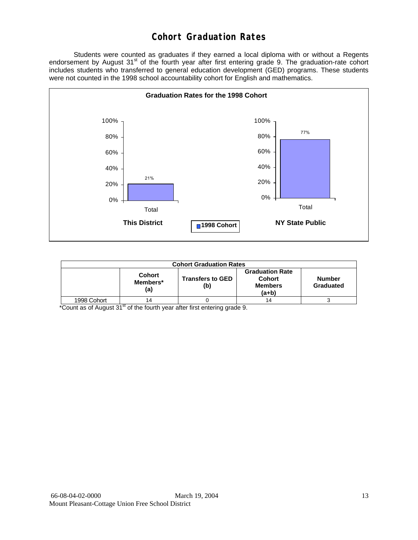## **Cohort Graduation Rates**

 Students were counted as graduates if they earned a local diploma with or without a Regents endorsement by August 31<sup>st</sup> of the fourth year after first entering grade 9. The graduation-rate cohort includes students who transferred to general education development (GED) programs. These students were not counted in the 1998 school accountability cohort for English and mathematics.



| <b>Cohort Graduation Rates</b> |                                  |                                |                                                             |                            |  |  |  |  |  |
|--------------------------------|----------------------------------|--------------------------------|-------------------------------------------------------------|----------------------------|--|--|--|--|--|
|                                | <b>Cohort</b><br>Members*<br>(a) | <b>Transfers to GED</b><br>(b) | <b>Graduation Rate</b><br>Cohort<br><b>Members</b><br>(a+b) | <b>Number</b><br>Graduated |  |  |  |  |  |
| 1998 Cohort                    | 14                               |                                | 14                                                          | 2                          |  |  |  |  |  |

\*Count as of August 31<sup>st</sup> of the fourth year after first entering grade 9.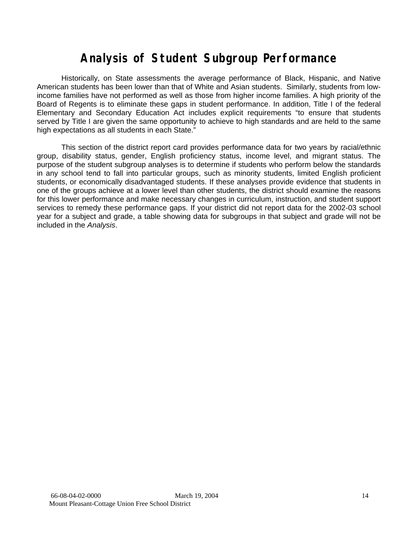# **Analysis of Student Subgroup Performance**

Historically, on State assessments the average performance of Black, Hispanic, and Native American students has been lower than that of White and Asian students. Similarly, students from lowincome families have not performed as well as those from higher income families. A high priority of the Board of Regents is to eliminate these gaps in student performance. In addition, Title I of the federal Elementary and Secondary Education Act includes explicit requirements "to ensure that students served by Title I are given the same opportunity to achieve to high standards and are held to the same high expectations as all students in each State."

This section of the district report card provides performance data for two years by racial/ethnic group, disability status, gender, English proficiency status, income level, and migrant status. The purpose of the student subgroup analyses is to determine if students who perform below the standards in any school tend to fall into particular groups, such as minority students, limited English proficient students, or economically disadvantaged students. If these analyses provide evidence that students in one of the groups achieve at a lower level than other students, the district should examine the reasons for this lower performance and make necessary changes in curriculum, instruction, and student support services to remedy these performance gaps. If your district did not report data for the 2002-03 school year for a subject and grade, a table showing data for subgroups in that subject and grade will not be included in the *Analysis*.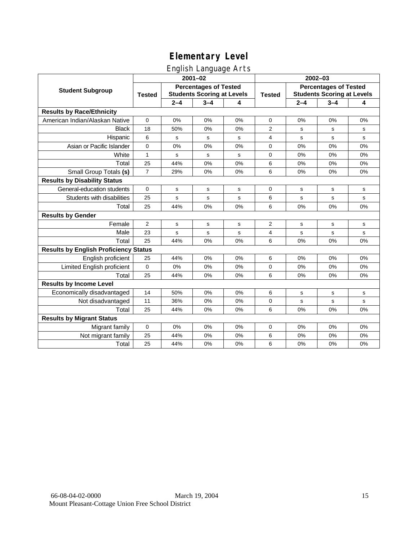English Language Arts

|                                              | $2001 - 02$    |                                                                   |             |    | $2002 - 03$   |                                                                   |         |             |
|----------------------------------------------|----------------|-------------------------------------------------------------------|-------------|----|---------------|-------------------------------------------------------------------|---------|-------------|
| <b>Student Subgroup</b>                      | <b>Tested</b>  | <b>Percentages of Tested</b><br><b>Students Scoring at Levels</b> |             |    | <b>Tested</b> | <b>Percentages of Tested</b><br><b>Students Scoring at Levels</b> |         |             |
|                                              |                | $2 - 4$                                                           | $3 - 4$     | 4  |               | $2 - 4$                                                           | $3 - 4$ | 4           |
| <b>Results by Race/Ethnicity</b>             |                |                                                                   |             |    |               |                                                                   |         |             |
| American Indian/Alaskan Native               | $\mathbf 0$    | 0%                                                                | 0%          | 0% | 0             | 0%                                                                | 0%      | 0%          |
| <b>Black</b>                                 | 18             | 50%                                                               | 0%          | 0% | 2             | s                                                                 | s       | s           |
| Hispanic                                     | 6              | s                                                                 | s           | s  | 4             | s                                                                 | s       | s           |
| Asian or Pacific Islander                    | 0              | 0%                                                                | 0%          | 0% | 0             | 0%                                                                | 0%      | 0%          |
| White                                        | 1              | s                                                                 | $\mathbf s$ | s  | 0             | 0%                                                                | 0%      | 0%          |
| Total                                        | 25             | 44%                                                               | 0%          | 0% | 6             | 0%                                                                | 0%      | 0%          |
| Small Group Totals (s)                       | $\overline{7}$ | 29%                                                               | 0%          | 0% | 6             | 0%                                                                | 0%      | 0%          |
| <b>Results by Disability Status</b>          |                |                                                                   |             |    |               |                                                                   |         |             |
| General-education students                   | $\Omega$       | s                                                                 | s           | s  | 0             | s                                                                 | s       | s           |
| Students with disabilities                   | 25             | s                                                                 | s           | s  | 6             | s                                                                 | s       | $\mathbf s$ |
| Total                                        | 25             | 44%                                                               | 0%          | 0% | 6             | 0%                                                                | 0%      | 0%          |
| <b>Results by Gender</b>                     |                |                                                                   |             |    |               |                                                                   |         |             |
| Female                                       | 2              | s                                                                 | s           | s  | 2             | s                                                                 | s       | s           |
| Male                                         | 23             | s                                                                 | s           | s  | 4             | s                                                                 | s       | s           |
| Total                                        | 25             | 44%                                                               | 0%          | 0% | 6             | 0%                                                                | 0%      | 0%          |
| <b>Results by English Proficiency Status</b> |                |                                                                   |             |    |               |                                                                   |         |             |
| English proficient                           | 25             | 44%                                                               | 0%          | 0% | 6             | 0%                                                                | 0%      | 0%          |
| Limited English proficient                   | $\Omega$       | 0%                                                                | 0%          | 0% | $\Omega$      | 0%                                                                | 0%      | 0%          |
| Total                                        | 25             | 44%                                                               | 0%          | 0% | 6             | 0%                                                                | 0%      | 0%          |
| <b>Results by Income Level</b>               |                |                                                                   |             |    |               |                                                                   |         |             |
| Economically disadvantaged                   | 14             | 50%                                                               | 0%          | 0% | 6             | s                                                                 | s       | s           |
| Not disadvantaged                            | 11             | 36%                                                               | 0%          | 0% | 0             | s                                                                 | s       | $\mathbf s$ |
| Total                                        | 25             | 44%                                                               | 0%          | 0% | 6             | 0%                                                                | 0%      | 0%          |
| <b>Results by Migrant Status</b>             |                |                                                                   |             |    |               |                                                                   |         |             |
| Migrant family                               | $\mathbf 0$    | 0%                                                                | 0%          | 0% | 0             | 0%                                                                | 0%      | 0%          |
| Not migrant family                           | 25             | 44%                                                               | 0%          | 0% | 6             | 0%                                                                | 0%      | 0%          |
| Total                                        | 25             | 44%                                                               | 0%          | 0% | 6             | 0%                                                                | 0%      | 0%          |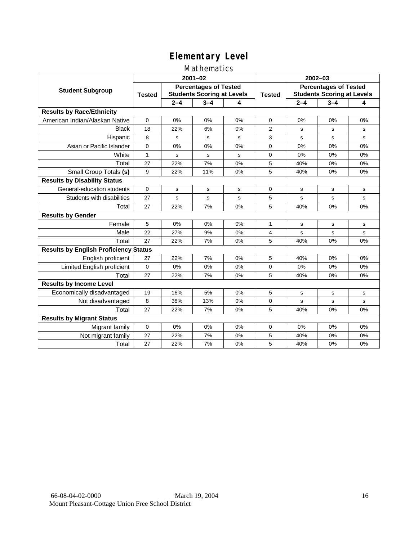### Mathematics

|                                              |                                                                                    |         | $2001 - 02$ |               |                                                                   | $2002 - 03$ |         |             |  |
|----------------------------------------------|------------------------------------------------------------------------------------|---------|-------------|---------------|-------------------------------------------------------------------|-------------|---------|-------------|--|
| <b>Student Subgroup</b>                      | <b>Percentages of Tested</b><br><b>Students Scoring at Levels</b><br><b>Tested</b> |         |             | <b>Tested</b> | <b>Percentages of Tested</b><br><b>Students Scoring at Levels</b> |             |         |             |  |
|                                              |                                                                                    | $2 - 4$ | $3 - 4$     | 4             |                                                                   | $2 - 4$     | $3 - 4$ | 4           |  |
| <b>Results by Race/Ethnicity</b>             |                                                                                    |         |             |               |                                                                   |             |         |             |  |
| American Indian/Alaskan Native               | $\mathbf 0$                                                                        | 0%      | 0%          | 0%            | $\Omega$                                                          | 0%          | 0%      | 0%          |  |
| <b>Black</b>                                 | 18                                                                                 | 22%     | 6%          | 0%            | 2                                                                 | s           | s       | s           |  |
| Hispanic                                     | 8                                                                                  | s       | s           | s             | 3                                                                 | s           | s       | s           |  |
| Asian or Pacific Islander                    | 0                                                                                  | 0%      | 0%          | 0%            | $\Omega$                                                          | 0%          | 0%      | 0%          |  |
| White                                        | 1                                                                                  | s       | $\mathbf s$ | s             | 0                                                                 | 0%          | 0%      | 0%          |  |
| Total                                        | 27                                                                                 | 22%     | 7%          | 0%            | 5                                                                 | 40%         | 0%      | 0%          |  |
| Small Group Totals (s)                       | 9                                                                                  | 22%     | 11%         | 0%            | 5                                                                 | 40%         | 0%      | 0%          |  |
| <b>Results by Disability Status</b>          |                                                                                    |         |             |               |                                                                   |             |         |             |  |
| General-education students                   | $\Omega$                                                                           | s       | s           | s             | 0                                                                 | s           | s       | s           |  |
| Students with disabilities                   | 27                                                                                 | s       | s           | s             | 5                                                                 | s           | s       | $\mathbf s$ |  |
| Total                                        | 27                                                                                 | 22%     | 7%          | 0%            | 5                                                                 | 40%         | 0%      | 0%          |  |
| <b>Results by Gender</b>                     |                                                                                    |         |             |               |                                                                   |             |         |             |  |
| Female                                       | 5                                                                                  | 0%      | 0%          | 0%            | 1                                                                 | s           | s       | s           |  |
| Male                                         | 22                                                                                 | 27%     | 9%          | 0%            | 4                                                                 | s           | s       | s           |  |
| Total                                        | 27                                                                                 | 22%     | 7%          | 0%            | 5                                                                 | 40%         | 0%      | 0%          |  |
| <b>Results by English Proficiency Status</b> |                                                                                    |         |             |               |                                                                   |             |         |             |  |
| English proficient                           | 27                                                                                 | 22%     | 7%          | 0%            | 5                                                                 | 40%         | 0%      | 0%          |  |
| Limited English proficient                   | 0                                                                                  | 0%      | 0%          | 0%            | 0                                                                 | 0%          | 0%      | 0%          |  |
| Total                                        | 27                                                                                 | 22%     | 7%          | 0%            | 5                                                                 | 40%         | 0%      | 0%          |  |
| <b>Results by Income Level</b>               |                                                                                    |         |             |               |                                                                   |             |         |             |  |
| Economically disadvantaged                   | 19                                                                                 | 16%     | 5%          | 0%            | 5                                                                 | s           | s       | s           |  |
| Not disadvantaged                            | 8                                                                                  | 38%     | 13%         | 0%            | 0                                                                 | s           | s       | s           |  |
| Total                                        | 27                                                                                 | 22%     | 7%          | 0%            | 5                                                                 | 40%         | 0%      | 0%          |  |
| <b>Results by Migrant Status</b>             |                                                                                    |         |             |               |                                                                   |             |         |             |  |
| Migrant family                               | 0                                                                                  | 0%      | 0%          | 0%            | 0                                                                 | 0%          | 0%      | 0%          |  |
| Not migrant family                           | 27                                                                                 | 22%     | 7%          | 0%            | 5                                                                 | 40%         | 0%      | 0%          |  |
| Total                                        | 27                                                                                 | 22%     | 7%          | 0%            | 5                                                                 | 40%         | 0%      | 0%          |  |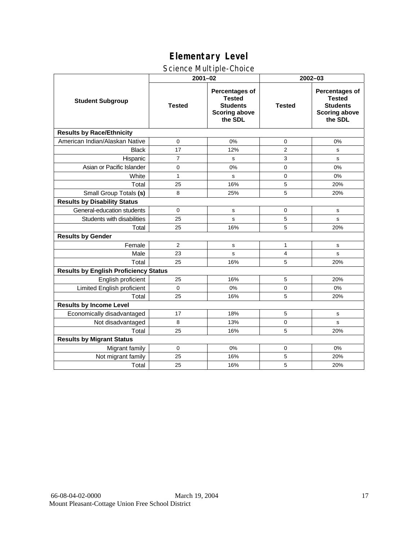### Science Multiple-Choice

|                                              | $2001 - 02$    |                                                                                              |               | 2002-03                                                                                      |  |  |  |
|----------------------------------------------|----------------|----------------------------------------------------------------------------------------------|---------------|----------------------------------------------------------------------------------------------|--|--|--|
| <b>Student Subgroup</b>                      | <b>Tested</b>  | <b>Percentages of</b><br><b>Tested</b><br><b>Students</b><br><b>Scoring above</b><br>the SDL | <b>Tested</b> | <b>Percentages of</b><br><b>Tested</b><br><b>Students</b><br><b>Scoring above</b><br>the SDL |  |  |  |
| <b>Results by Race/Ethnicity</b>             |                |                                                                                              |               |                                                                                              |  |  |  |
| American Indian/Alaskan Native               | $\Omega$       | 0%                                                                                           | 0             | 0%                                                                                           |  |  |  |
| <b>Black</b>                                 | 17             | 12%                                                                                          | 2             | s                                                                                            |  |  |  |
| Hispanic                                     | $\overline{7}$ | s                                                                                            | 3             | s                                                                                            |  |  |  |
| Asian or Pacific Islander                    | $\Omega$       | 0%                                                                                           | $\Omega$      | 0%                                                                                           |  |  |  |
| White                                        | $\mathbf{1}$   | s                                                                                            | $\Omega$      | 0%                                                                                           |  |  |  |
| Total                                        | 25             | 16%                                                                                          | 5             | 20%                                                                                          |  |  |  |
| Small Group Totals (s)                       | 8              | 25%                                                                                          | 5             | 20%                                                                                          |  |  |  |
| <b>Results by Disability Status</b>          |                |                                                                                              |               |                                                                                              |  |  |  |
| General-education students                   | $\mathbf 0$    | s                                                                                            | $\mathbf 0$   | $\mathbf s$                                                                                  |  |  |  |
| Students with disabilities                   | 25             | s                                                                                            | 5             | s                                                                                            |  |  |  |
| Total                                        | 25             | 16%                                                                                          | 5             | 20%                                                                                          |  |  |  |
| <b>Results by Gender</b>                     |                |                                                                                              |               |                                                                                              |  |  |  |
| Female                                       | 2              | s                                                                                            | $\mathbf{1}$  | s                                                                                            |  |  |  |
| Male                                         | 23             | s                                                                                            | 4             | s                                                                                            |  |  |  |
| Total                                        | 25             | 16%                                                                                          | 5             | 20%                                                                                          |  |  |  |
| <b>Results by English Proficiency Status</b> |                |                                                                                              |               |                                                                                              |  |  |  |
| English proficient                           | 25             | 16%                                                                                          | 5             | 20%                                                                                          |  |  |  |
| Limited English proficient                   | $\mathbf 0$    | 0%                                                                                           | 0             | 0%                                                                                           |  |  |  |
| Total                                        | 25             | 16%                                                                                          | 5             | 20%                                                                                          |  |  |  |
| <b>Results by Income Level</b>               |                |                                                                                              |               |                                                                                              |  |  |  |
| Economically disadvantaged                   | 17             | 18%                                                                                          | 5             | s                                                                                            |  |  |  |
| Not disadvantaged                            | 8              | 13%                                                                                          | 0             | s                                                                                            |  |  |  |
| Total                                        | 25             | 16%                                                                                          | 5             | 20%                                                                                          |  |  |  |
| <b>Results by Migrant Status</b>             |                |                                                                                              |               |                                                                                              |  |  |  |
| Migrant family                               | $\mathbf 0$    | 0%                                                                                           | 0             | 0%                                                                                           |  |  |  |
| Not migrant family                           | 25             | 16%                                                                                          | 5             | 20%                                                                                          |  |  |  |
| Total                                        | 25             | 16%                                                                                          | 5             | 20%                                                                                          |  |  |  |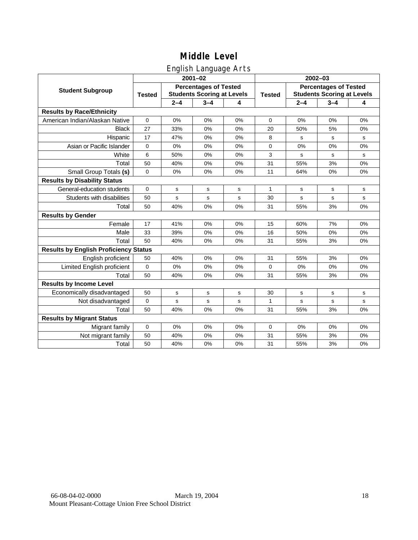## English Language Arts

|                                              |                                                                                    |             | ◡<br>$2001 - 02$ |               |                                                                   |         | 2002-03     |             |
|----------------------------------------------|------------------------------------------------------------------------------------|-------------|------------------|---------------|-------------------------------------------------------------------|---------|-------------|-------------|
| <b>Student Subgroup</b>                      | <b>Percentages of Tested</b><br><b>Students Scoring at Levels</b><br><b>Tested</b> |             |                  | <b>Tested</b> | <b>Percentages of Tested</b><br><b>Students Scoring at Levels</b> |         |             |             |
|                                              |                                                                                    | $2 - 4$     | $3 - 4$          | 4             |                                                                   | $2 - 4$ | $3 - 4$     | 4           |
| <b>Results by Race/Ethnicity</b>             |                                                                                    |             |                  |               |                                                                   |         |             |             |
| American Indian/Alaskan Native               | 0                                                                                  | 0%          | 0%               | 0%            | 0                                                                 | 0%      | 0%          | 0%          |
| <b>Black</b>                                 | 27                                                                                 | 33%         | 0%               | 0%            | 20                                                                | 50%     | 5%          | 0%          |
| Hispanic                                     | 17                                                                                 | 47%         | 0%               | 0%            | 8                                                                 | s       | s           | s           |
| Asian or Pacific Islander                    | 0                                                                                  | 0%          | 0%               | 0%            | 0                                                                 | 0%      | 0%          | 0%          |
| White                                        | 6                                                                                  | 50%         | 0%               | 0%            | 3                                                                 | s       | s           | s           |
| Total                                        | 50                                                                                 | 40%         | 0%               | 0%            | 31                                                                | 55%     | 3%          | 0%          |
| Small Group Totals (s)                       | $\mathbf 0$                                                                        | 0%          | 0%               | 0%            | 11                                                                | 64%     | 0%          | 0%          |
| <b>Results by Disability Status</b>          |                                                                                    |             |                  |               |                                                                   |         |             |             |
| General-education students                   | 0                                                                                  | $\mathbf s$ | $\mathbf s$      | s             | 1                                                                 | s       | s           | s           |
| Students with disabilities                   | 50                                                                                 | s           | $\mathbf s$      | s             | 30                                                                | s       | s           | $\mathbf s$ |
| Total                                        | 50                                                                                 | 40%         | 0%               | 0%            | 31                                                                | 55%     | 3%          | 0%          |
| <b>Results by Gender</b>                     |                                                                                    |             |                  |               |                                                                   |         |             |             |
| Female                                       | 17                                                                                 | 41%         | 0%               | 0%            | 15                                                                | 60%     | 7%          | 0%          |
| Male                                         | 33                                                                                 | 39%         | 0%               | 0%            | 16                                                                | 50%     | 0%          | 0%          |
| Total                                        | 50                                                                                 | 40%         | 0%               | 0%            | 31                                                                | 55%     | 3%          | 0%          |
| <b>Results by English Proficiency Status</b> |                                                                                    |             |                  |               |                                                                   |         |             |             |
| English proficient                           | 50                                                                                 | 40%         | 0%               | 0%            | 31                                                                | 55%     | 3%          | 0%          |
| Limited English proficient                   | $\mathbf 0$                                                                        | 0%          | 0%               | 0%            | 0                                                                 | 0%      | 0%          | 0%          |
| Total                                        | 50                                                                                 | 40%         | 0%               | 0%            | 31                                                                | 55%     | 3%          | 0%          |
| <b>Results by Income Level</b>               |                                                                                    |             |                  |               |                                                                   |         |             |             |
| Economically disadvantaged                   | 50                                                                                 | s           | $\mathbf s$      | s             | 30                                                                | s       | s           | s           |
| Not disadvantaged                            | $\mathbf 0$                                                                        | s           | s                | s             | $\mathbf{1}$                                                      | s       | $\mathbf s$ | $\mathbf s$ |
| Total                                        | 50                                                                                 | 40%         | 0%               | 0%            | 31                                                                | 55%     | 3%          | 0%          |
| <b>Results by Migrant Status</b>             |                                                                                    |             |                  |               |                                                                   |         |             |             |
| Migrant family                               | $\mathbf 0$                                                                        | 0%          | 0%               | 0%            | 0                                                                 | 0%      | 0%          | 0%          |
| Not migrant family                           | 50                                                                                 | 40%         | 0%               | 0%            | 31                                                                | 55%     | 3%          | 0%          |
| Total                                        | 50                                                                                 | 40%         | 0%               | 0%            | 31                                                                | 55%     | 3%          | 0%          |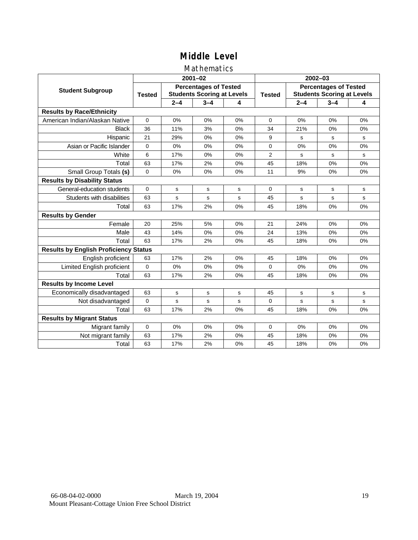### Mathematics

|                                              |                                                                                    |         | $2001 - 02$ |               | $2002 - 03$                                                       |         |         |             |
|----------------------------------------------|------------------------------------------------------------------------------------|---------|-------------|---------------|-------------------------------------------------------------------|---------|---------|-------------|
| <b>Student Subgroup</b>                      | <b>Percentages of Tested</b><br><b>Students Scoring at Levels</b><br><b>Tested</b> |         |             | <b>Tested</b> | <b>Percentages of Tested</b><br><b>Students Scoring at Levels</b> |         |         |             |
|                                              |                                                                                    | $2 - 4$ | $3 - 4$     | 4             |                                                                   | $2 - 4$ | $3 - 4$ | 4           |
| <b>Results by Race/Ethnicity</b>             |                                                                                    |         |             |               |                                                                   |         |         |             |
| American Indian/Alaskan Native               | $\mathbf 0$                                                                        | 0%      | 0%          | 0%            | $\Omega$                                                          | 0%      | 0%      | 0%          |
| <b>Black</b>                                 | 36                                                                                 | 11%     | 3%          | 0%            | 34                                                                | 21%     | 0%      | 0%          |
| Hispanic                                     | 21                                                                                 | 29%     | 0%          | 0%            | 9                                                                 | s       | s       | s           |
| Asian or Pacific Islander                    | $\Omega$                                                                           | 0%      | 0%          | 0%            | $\Omega$                                                          | 0%      | 0%      | 0%          |
| White                                        | 6                                                                                  | 17%     | 0%          | 0%            | $\overline{2}$                                                    | s       | s       | $\mathbf s$ |
| Total                                        | 63                                                                                 | 17%     | 2%          | 0%            | 45                                                                | 18%     | 0%      | 0%          |
| Small Group Totals (s)                       | $\mathbf 0$                                                                        | 0%      | 0%          | 0%            | 11                                                                | 9%      | 0%      | 0%          |
| <b>Results by Disability Status</b>          |                                                                                    |         |             |               |                                                                   |         |         |             |
| General-education students                   | $\Omega$                                                                           | s       | s           | s             | $\Omega$                                                          | s       | s       | s           |
| Students with disabilities                   | 63                                                                                 | s       | s           | s             | 45                                                                | s       | s       | $\mathbf s$ |
| Total                                        | 63                                                                                 | 17%     | 2%          | 0%            | 45                                                                | 18%     | 0%      | 0%          |
| <b>Results by Gender</b>                     |                                                                                    |         |             |               |                                                                   |         |         |             |
| Female                                       | 20                                                                                 | 25%     | 5%          | 0%            | 21                                                                | 24%     | 0%      | 0%          |
| Male                                         | 43                                                                                 | 14%     | 0%          | 0%            | 24                                                                | 13%     | 0%      | 0%          |
| Total                                        | 63                                                                                 | 17%     | 2%          | 0%            | 45                                                                | 18%     | 0%      | 0%          |
| <b>Results by English Proficiency Status</b> |                                                                                    |         |             |               |                                                                   |         |         |             |
| English proficient                           | 63                                                                                 | 17%     | 2%          | 0%            | 45                                                                | 18%     | 0%      | 0%          |
| Limited English proficient                   | $\mathbf 0$                                                                        | 0%      | 0%          | 0%            | $\Omega$                                                          | 0%      | 0%      | 0%          |
| Total                                        | 63                                                                                 | 17%     | 2%          | 0%            | 45                                                                | 18%     | 0%      | 0%          |
| <b>Results by Income Level</b>               |                                                                                    |         |             |               |                                                                   |         |         |             |
| Economically disadvantaged                   | 63                                                                                 | s       | s           | s             | 45                                                                | s       | s       | s           |
| Not disadvantaged                            | $\mathbf 0$                                                                        | s       | s           | s             | 0                                                                 | s       | s       | s           |
| Total                                        | 63                                                                                 | 17%     | 2%          | 0%            | 45                                                                | 18%     | 0%      | 0%          |
| <b>Results by Migrant Status</b>             |                                                                                    |         |             |               |                                                                   |         |         |             |
| Migrant family                               | 0                                                                                  | 0%      | 0%          | 0%            | 0                                                                 | 0%      | 0%      | 0%          |
| Not migrant family                           | 63                                                                                 | 17%     | 2%          | 0%            | 45                                                                | 18%     | 0%      | 0%          |
| Total                                        | 63                                                                                 | 17%     | 2%          | 0%            | 45                                                                | 18%     | 0%      | 0%          |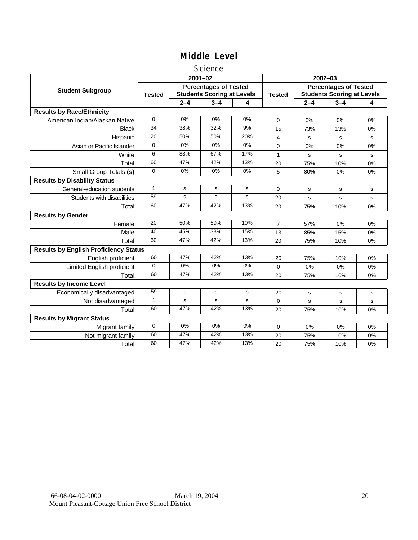### **Science**

|                                              |               |         | $2001 - 02$                                                       |             | $2002 - 03$    |                                                                   |             |             |  |
|----------------------------------------------|---------------|---------|-------------------------------------------------------------------|-------------|----------------|-------------------------------------------------------------------|-------------|-------------|--|
| <b>Student Subgroup</b>                      | <b>Tested</b> |         | <b>Percentages of Tested</b><br><b>Students Scoring at Levels</b> |             | <b>Tested</b>  | <b>Percentages of Tested</b><br><b>Students Scoring at Levels</b> |             |             |  |
|                                              |               | $2 - 4$ | $3 - 4$                                                           | 4           |                | $2 - 4$                                                           | $3 - 4$     | 4           |  |
| <b>Results by Race/Ethnicity</b>             |               |         |                                                                   |             |                |                                                                   |             |             |  |
| American Indian/Alaskan Native               | $\Omega$      | 0%      | 0%                                                                | 0%          | 0              | 0%                                                                | 0%          | 0%          |  |
| <b>Black</b>                                 | 34            | 38%     | 32%                                                               | 9%          | 15             | 73%                                                               | 13%         | 0%          |  |
| Hispanic                                     | 20            | 50%     | 50%                                                               | 20%         | 4              | s                                                                 | s           | s           |  |
| Asian or Pacific Islander                    | $\mathbf 0$   | 0%      | 0%                                                                | $0\%$       | 0              | 0%                                                                | 0%          | 0%          |  |
| White                                        | 6             | 83%     | 67%                                                               | 17%         | $\mathbf{1}$   | s                                                                 | $\mathbf s$ | s           |  |
| Total                                        | 60            | 47%     | 42%                                                               | 13%         | 20             | 75%                                                               | 10%         | 0%          |  |
| Small Group Totals (s)                       | $\Omega$      | 0%      | 0%                                                                | 0%          | 5              | 80%                                                               | 0%          | 0%          |  |
| <b>Results by Disability Status</b>          |               |         |                                                                   |             |                |                                                                   |             |             |  |
| General-education students                   | $\mathbf{1}$  | s       | s                                                                 | s           | $\Omega$       | s                                                                 | s           | s           |  |
| Students with disabilities                   | 59            | s       | s                                                                 | $\mathbf s$ | 20             | s                                                                 | s           | $\mathbf s$ |  |
| Total                                        | 60            | 47%     | 42%                                                               | 13%         | 20             | 75%                                                               | 10%         | 0%          |  |
| <b>Results by Gender</b>                     |               |         |                                                                   |             |                |                                                                   |             |             |  |
| Female                                       | 20            | 50%     | 50%                                                               | 10%         | $\overline{7}$ | 57%                                                               | 0%          | 0%          |  |
| Male                                         | 40            | 45%     | 38%                                                               | 15%         | 13             | 85%                                                               | 15%         | 0%          |  |
| Total                                        | 60            | 47%     | 42%                                                               | 13%         | 20             | 75%                                                               | 10%         | 0%          |  |
| <b>Results by English Proficiency Status</b> |               |         |                                                                   |             |                |                                                                   |             |             |  |
| English proficient                           | 60            | 47%     | 42%                                                               | 13%         | 20             | 75%                                                               | 10%         | 0%          |  |
| Limited English proficient                   | $\Omega$      | 0%      | 0%                                                                | 0%          | 0              | 0%                                                                | 0%          | 0%          |  |
| Total                                        | 60            | 47%     | 42%                                                               | 13%         | 20             | 75%                                                               | 10%         | 0%          |  |
| <b>Results by Income Level</b>               |               |         |                                                                   |             |                |                                                                   |             |             |  |
| Economically disadvantaged                   | 59            | s       | $\mathbf s$                                                       | $\mathbf s$ | 20             | s                                                                 | s           | s           |  |
| Not disadvantaged                            | 1             | s       | s                                                                 | s           | 0              | s                                                                 | s           | s           |  |
| Total                                        | 60            | 47%     | 42%                                                               | 13%         | 20             | 75%                                                               | 10%         | 0%          |  |
| <b>Results by Migrant Status</b>             |               |         |                                                                   |             |                |                                                                   |             |             |  |
| Migrant family                               | 0             | 0%      | 0%                                                                | 0%          | 0              | 0%                                                                | 0%          | 0%          |  |
| Not migrant family                           | 60            | 47%     | 42%                                                               | 13%         | 20             | 75%                                                               | 10%         | 0%          |  |
| Total                                        | 60            | 47%     | 42%                                                               | 13%         | 20             | 75%                                                               | 10%         | 0%          |  |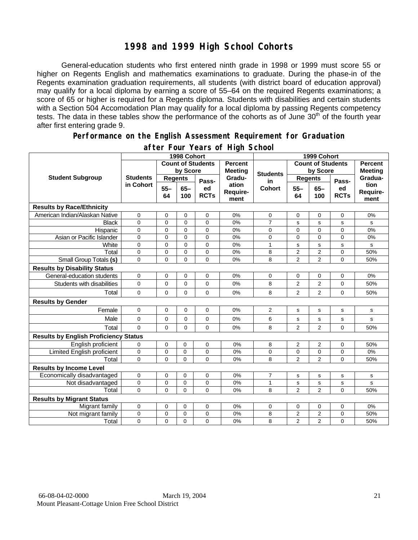### **1998 and 1999 High School Cohorts**

General-education students who first entered ninth grade in 1998 or 1999 must score 55 or higher on Regents English and mathematics examinations to graduate. During the phase-in of the Regents examination graduation requirements, all students (with district board of education approval) may qualify for a local diploma by earning a score of 55–64 on the required Regents examinations; a score of 65 or higher is required for a Regents diploma. Students with disabilities and certain students with a Section 504 Accomodation Plan may qualify for a local diploma by passing Regents competency tests. The data in these tables show the performance of the cohorts as of June 30<sup>th</sup> of the fourth year after first entering grade 9.

#### **Performance on the English Assessment Requirement for Graduation**

|                                              | 1998 Cohort                  |                |                          |                   |                           | 1999 Cohort              |                |                |                   |                          |
|----------------------------------------------|------------------------------|----------------|--------------------------|-------------------|---------------------------|--------------------------|----------------|----------------|-------------------|--------------------------|
|                                              |                              |                | <b>Count of Students</b> | <b>Percent</b>    |                           | <b>Count of Students</b> |                | <b>Percent</b> |                   |                          |
|                                              | <b>Students</b><br>in Cohort | by Score       |                          |                   | <b>Meeting</b>            | <b>Students</b>          | by Score       |                | <b>Meeting</b>    |                          |
| <b>Student Subgroup</b>                      |                              | <b>Regents</b> |                          | Pass-             | Gradu-                    | in                       | <b>Regents</b> |                | Pass-             | Gradua-                  |
|                                              |                              | $55 -$<br>64   | $65-$<br>100             | ed<br><b>RCTs</b> | ation<br>Require-<br>ment | <b>Cohort</b>            | $55 -$<br>64   | $65-$<br>100   | ed<br><b>RCTs</b> | tion<br>Require-<br>ment |
| <b>Results by Race/Ethnicity</b>             |                              |                |                          |                   |                           |                          |                |                |                   |                          |
| American Indian/Alaskan Native               | $\mathbf 0$                  | $\mathbf 0$    | 0                        | 0                 | 0%                        | $\mathbf 0$              | 0              | 0              | 0                 | 0%                       |
| <b>Black</b>                                 | $\Omega$                     | $\mathbf 0$    | $\Omega$                 | $\overline{0}$    | 0%                        | $\overline{7}$           | s              | s              | s                 | s                        |
| Hispanic                                     | 0                            | 0              | 0                        | 0                 | 0%                        | 0                        | 0              | 0              | 0                 | 0%                       |
| Asian or Pacific Islander                    | $\mathbf 0$                  | $\mathbf 0$    | $\Omega$                 | $\overline{0}$    | 0%                        | 0                        | $\mathbf 0$    | 0              | 0                 | 0%                       |
| White                                        | 0                            | $\mathbf 0$    | $\mathbf 0$              | 0                 | 0%                        | $\mathbf{1}$             | s              | s              | s                 | s                        |
| Total                                        | $\mathbf 0$                  | $\overline{0}$ | $\mathbf 0$              | 0                 | 0%                        | 8                        | $\overline{2}$ | $\overline{2}$ | 0                 | 50%                      |
| Small Group Totals (s)                       | 0                            | 0              | $\mathbf 0$              | $\overline{0}$    | 0%                        | 8                        | $\overline{2}$ | $\overline{2}$ | $\overline{0}$    | 50%                      |
| <b>Results by Disability Status</b>          |                              |                |                          |                   |                           |                          |                |                |                   |                          |
| General-education students                   | 0                            | $\mathbf 0$    | 0                        | 0                 | 0%                        | 0                        | 0              | 0              | 0                 | 0%                       |
| Students with disabilities                   | 0                            | $\mathbf 0$    | 0                        | 0                 | 0%                        | 8                        | $\overline{2}$ | $\overline{2}$ | $\mathbf 0$       | 50%                      |
| Total                                        | $\mathbf 0$                  | $\mathbf 0$    | 0                        | 0                 | 0%                        | 8                        | $\overline{2}$ | $\overline{2}$ | $\mathbf 0$       | 50%                      |
| <b>Results by Gender</b>                     |                              |                |                          |                   |                           |                          |                |                |                   |                          |
| Female                                       | $\Omega$                     | $\mathbf 0$    | $\mathbf 0$              | $\overline{0}$    | 0%                        | $\overline{2}$           | s              | s              | s                 | ${\tt s}$                |
| Male                                         | $\Omega$                     | $\mathbf 0$    | 0                        | $\Omega$          | 0%                        | 6                        | s              | s              | s                 | s                        |
| Total                                        | $\Omega$                     | $\mathbf 0$    | $\mathbf 0$              | 0                 | 0%                        | 8                        | $\overline{2}$ | $\overline{2}$ | 0                 | 50%                      |
| <b>Results by English Proficiency Status</b> |                              |                |                          |                   |                           |                          |                |                |                   |                          |
| English proficient                           | 0                            | $\mathbf 0$    | 0                        | $\mathbf 0$       | 0%                        | 8                        | 2              | 2              | 0                 | 50%                      |
| Limited English proficient                   | 0                            | $\pmb{0}$      | 0                        | 0                 | 0%                        | 0                        | 0              | 0              | 0                 | 0%                       |
| Total                                        | $\Omega$                     | $\mathbf 0$    | $\Omega$                 | $\Omega$          | 0%                        | 8                        | $\overline{2}$ | $\overline{2}$ | $\overline{0}$    | 50%                      |
| <b>Results by Income Level</b>               |                              |                |                          |                   |                           |                          |                |                |                   |                          |
| Economically disadvantaged                   | 0                            | $\pmb{0}$      | 0                        | 0                 | 0%                        | $\overline{7}$           | $\mathbf S$    | s              | s                 | $\mathbf s$              |
| Not disadvantaged                            | $\mathbf 0$                  | $\pmb{0}$      | $\mathbf 0$              | 0                 | 0%                        | 1                        | s              | $\mathbf s$    | s                 | s                        |
| Total                                        | $\Omega$                     | $\Omega$       | $\Omega$                 | $\overline{0}$    | 0%                        | 8                        | $\overline{2}$ | $\overline{2}$ | $\Omega$          | 50%                      |
| <b>Results by Migrant Status</b>             |                              |                |                          |                   |                           |                          |                |                |                   |                          |
| Migrant family                               | 0                            | $\mathbf 0$    | $\mathbf 0$              | 0                 | 0%                        | 0                        | 0              | 0              | 0                 | 0%                       |
| Not migrant family                           | 0                            | $\mathbf 0$    | 0                        | $\pmb{0}$         | 0%                        | 8                        | $\sqrt{2}$     | 2              | 0                 | 50%                      |
| Total                                        | $\mathbf 0$                  | $\mathbf 0$    | $\Omega$                 | $\mathbf 0$       | 0%                        | 8                        | $\overline{2}$ | $\overline{2}$ | $\Omega$          | 50%                      |

### **after Four Years of High School**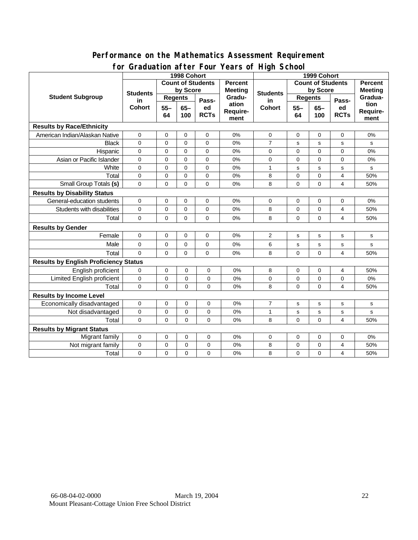### **Performance on the Mathematics Assessment Requirement for Graduation after Four Years of High School**

|                                              |                          | $2.501 + 0.01$<br>1998 Cohort |               | $1041301 \cdot 10911001$<br>1999 Cohort |                           |                          |                |               |                   |                          |
|----------------------------------------------|--------------------------|-------------------------------|---------------|-----------------------------------------|---------------------------|--------------------------|----------------|---------------|-------------------|--------------------------|
|                                              | <b>Count of Students</b> |                               |               | <b>Percent</b>                          |                           | <b>Count of Students</b> |                |               | Percent           |                          |
|                                              | <b>Students</b>          | by Score                      |               |                                         | <b>Meeting</b>            | <b>Students</b>          | by Score       |               |                   | <b>Meeting</b>           |
| <b>Student Subgroup</b>                      | in<br><b>Cohort</b>      | <b>Regents</b>                |               | Pass-                                   | Gradu-                    | in                       | <b>Regents</b> |               | Pass-             | Gradua-                  |
|                                              |                          | $55 -$<br>64                  | $65 -$<br>100 | ed<br><b>RCTs</b>                       | ation<br>Require-<br>ment | <b>Cohort</b>            | $55 -$<br>64   | $65 -$<br>100 | ed<br><b>RCTs</b> | tion<br>Require-<br>ment |
| <b>Results by Race/Ethnicity</b>             |                          |                               |               |                                         |                           |                          |                |               |                   |                          |
| American Indian/Alaskan Native               | $\mathsf 0$              | $\mathbf 0$                   | $\mathbf 0$   | $\mathbf 0$                             | 0%                        | $\mathbf 0$              | $\mathbf 0$    | $\mathbf 0$   | $\mathbf 0$       | 0%                       |
| <b>Black</b>                                 | $\mathbf 0$              | $\mathbf 0$                   | $\mathbf 0$   | $\mathbf 0$                             | 0%                        | $\overline{7}$           | s              | s             | s                 | s                        |
| Hispanic                                     | 0                        | $\mathbf 0$                   | $\Omega$      | $\mathbf 0$                             | 0%                        | $\mathbf 0$              | $\Omega$       | 0             | 0                 | 0%                       |
| Asian or Pacific Islander                    | 0                        | $\mathbf 0$                   | $\Omega$      | 0                                       | 0%                        | 0                        | $\mathbf 0$    | 0             | 0                 | 0%                       |
| White                                        | $\Omega$                 | $\mathbf 0$                   | $\Omega$      | 0                                       | 0%                        | $\mathbf{1}$             | s              | $\mathbf s$   | s                 | $\mathbf s$              |
| Total                                        | $\Omega$                 | $\mathbf 0$                   | $\mathbf 0$   | $\Omega$                                | 0%                        | 8                        | $\mathbf 0$    | $\mathbf 0$   | 4                 | 50%                      |
| Small Group Totals (s)                       | $\Omega$                 | $\Omega$                      | $\Omega$      | $\Omega$                                | 0%                        | 8                        | $\Omega$       | $\Omega$      | 4                 | 50%                      |
| <b>Results by Disability Status</b>          |                          |                               |               |                                         |                           |                          |                |               |                   |                          |
| General-education students                   | 0                        | $\mathbf 0$                   | $\mathbf 0$   | $\mathbf 0$                             | 0%                        | 0                        | 0              | $\mathbf 0$   | 0                 | 0%                       |
| Students with disabilities                   | 0                        | $\mathbf 0$                   | $\mathbf 0$   | 0                                       | 0%                        | 8                        | $\mathbf 0$    | 0             | 4                 | 50%                      |
| Total                                        | $\Omega$                 | $\Omega$                      | $\Omega$      | $\Omega$                                | 0%                        | 8                        | $\Omega$       | $\Omega$      | 4                 | 50%                      |
| <b>Results by Gender</b>                     |                          |                               |               |                                         |                           |                          |                |               |                   |                          |
| Female                                       | $\mathbf 0$              | $\mathbf 0$                   | $\mathbf 0$   | $\mathbf 0$                             | 0%                        | $\overline{c}$           | s              | s             | s                 | $\mathbf s$              |
| Male                                         | $\mathbf 0$              | $\mathbf 0$                   | $\mathbf 0$   | 0                                       | 0%                        | 6                        | s              | s             | s                 | s                        |
| Total                                        | $\Omega$                 | $\Omega$                      | $\Omega$      | $\Omega$                                | 0%                        | 8                        | $\mathbf 0$    | $\mathbf 0$   | 4                 | 50%                      |
| <b>Results by English Proficiency Status</b> |                          |                               |               |                                         |                           |                          |                |               |                   |                          |
| English proficient                           | 0                        | $\mathbf 0$                   | 0             | 0                                       | 0%                        | 8                        | 0              | 0             | 4                 | 50%                      |
| Limited English proficient                   | 0                        | $\mathbf 0$                   | 0             | 0                                       | 0%                        | 0                        | $\mathbf 0$    | 0             | 0                 | 0%                       |
| Total                                        | $\overline{0}$           | 0                             | $\Omega$      | $\Omega$                                | 0%                        | 8                        | $\Omega$       | 0             | 4                 | 50%                      |
| <b>Results by Income Level</b>               |                          |                               |               |                                         |                           |                          |                |               |                   |                          |
| Economically disadvantaged                   | 0                        | $\mathbf 0$                   | 0             | $\mathbf 0$                             | 0%                        | $\overline{7}$           | s              | $\mathbf s$   | s                 | $\mathbf s$              |
| Not disadvantaged                            | $\mathbf 0$              | $\mathbf 0$                   | $\mathbf 0$   | $\mathbf 0$                             | 0%                        | $\mathbf{1}$             | s              | $\mathbf s$   | s                 | s                        |
| Total                                        | $\Omega$                 | $\mathbf 0$                   | $\Omega$      | $\Omega$                                | 0%                        | 8                        | $\Omega$       | $\Omega$      | 4                 | 50%                      |
| <b>Results by Migrant Status</b>             |                          |                               |               |                                         |                           |                          |                |               |                   |                          |
| Migrant family                               | $\mathsf{O}\xspace$      | 0                             | 0             | 0                                       | 0%                        | 0                        | 0              | 0             | 0                 | 0%                       |
| Not migrant family                           | 0                        | $\mathbf 0$                   | 0             | $\mathbf 0$                             | 0%                        | 8                        | $\mathbf 0$    | 0             | 4                 | 50%                      |
| Total                                        | 0                        | $\mathbf 0$                   | 0             | 0                                       | 0%                        | 8                        | $\mathbf 0$    | 0             | 4                 | 50%                      |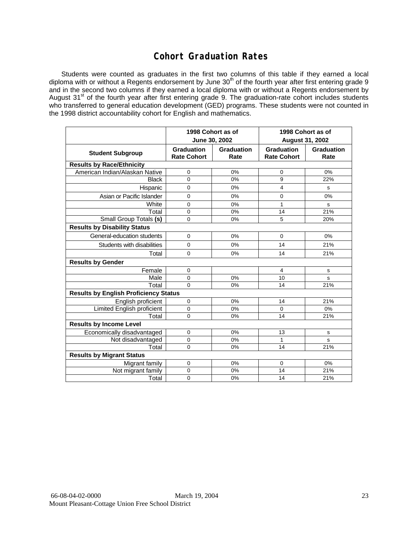## **Cohort Graduation Rates**

Students were counted as graduates in the first two columns of this table if they earned a local diploma with or without a Regents endorsement by June 30<sup>th</sup> of the fourth year after first entering grade 9 and in the second two columns if they earned a local diploma with or without a Regents endorsement by August 31<sup>st</sup> of the fourth year after first entering grade 9. The graduation-rate cohort includes students who transferred to general education development (GED) programs. These students were not counted in the 1998 district accountability cohort for English and mathematics.

|                                              |                                         | 1998 Cohort as of<br>June 30, 2002 | 1998 Cohort as of<br><b>August 31, 2002</b> |                    |  |  |  |  |
|----------------------------------------------|-----------------------------------------|------------------------------------|---------------------------------------------|--------------------|--|--|--|--|
| <b>Student Subgroup</b>                      | <b>Graduation</b><br><b>Rate Cohort</b> | <b>Graduation</b><br>Rate          | <b>Graduation</b><br><b>Rate Cohort</b>     | Graduation<br>Rate |  |  |  |  |
| <b>Results by Race/Ethnicity</b>             |                                         |                                    |                                             |                    |  |  |  |  |
| American Indian/Alaskan Native               | 0                                       | 0%                                 | 0                                           | 0%                 |  |  |  |  |
| <b>Black</b>                                 | 0                                       | 0%                                 | 9                                           | 22%                |  |  |  |  |
| Hispanic                                     | 0                                       | 0%                                 | 4                                           | s                  |  |  |  |  |
| Asian or Pacific Islander                    | 0                                       | 0%                                 | $\mathbf 0$                                 | 0%                 |  |  |  |  |
| White                                        | 0                                       | 0%                                 | 1                                           | s                  |  |  |  |  |
| Total                                        | 0                                       | 0%                                 | 14                                          | 21%                |  |  |  |  |
| Small Group Totals (s)                       | 0                                       | 0%                                 | 5                                           | 20%                |  |  |  |  |
| <b>Results by Disability Status</b>          |                                         |                                    |                                             |                    |  |  |  |  |
| General-education students                   | $\mathbf 0$                             | 0%                                 | $\mathbf 0$                                 | 0%                 |  |  |  |  |
| Students with disabilities                   | 0                                       | 0%                                 | 14                                          | 21%                |  |  |  |  |
| Total                                        | 0                                       | 0%                                 | 14                                          | 21%                |  |  |  |  |
| <b>Results by Gender</b>                     |                                         |                                    |                                             |                    |  |  |  |  |
| Female                                       | $\mathbf 0$                             |                                    | $\overline{4}$                              | s                  |  |  |  |  |
| Male                                         | 0                                       | 0%                                 | 10                                          | s                  |  |  |  |  |
| Total                                        | $\Omega$                                | 0%                                 | 14                                          | 21%                |  |  |  |  |
| <b>Results by English Proficiency Status</b> |                                         |                                    |                                             |                    |  |  |  |  |
| English proficient                           | 0                                       | 0%                                 | 14                                          | 21%                |  |  |  |  |
| Limited English proficient                   | 0                                       | 0%                                 | 0                                           | 0%                 |  |  |  |  |
| Total                                        | 0                                       | $0\%$                              | 14                                          | 21%                |  |  |  |  |
| <b>Results by Income Level</b>               |                                         |                                    |                                             |                    |  |  |  |  |
| Economically disadvantaged                   | 0                                       | 0%                                 | 13                                          | $\mathbf S$        |  |  |  |  |
| Not disadvantaged                            | 0                                       | 0%                                 | 1                                           | s                  |  |  |  |  |
| Total                                        | 0                                       | 0%                                 | 14                                          | 21%                |  |  |  |  |
| <b>Results by Migrant Status</b>             |                                         |                                    |                                             |                    |  |  |  |  |
| Migrant family                               | 0                                       | 0%                                 | 0                                           | 0%                 |  |  |  |  |
| Not migrant family                           | 0                                       | 0%                                 | 14                                          | 21%                |  |  |  |  |
| Total                                        | 0                                       | 0%                                 | 14                                          | 21%                |  |  |  |  |